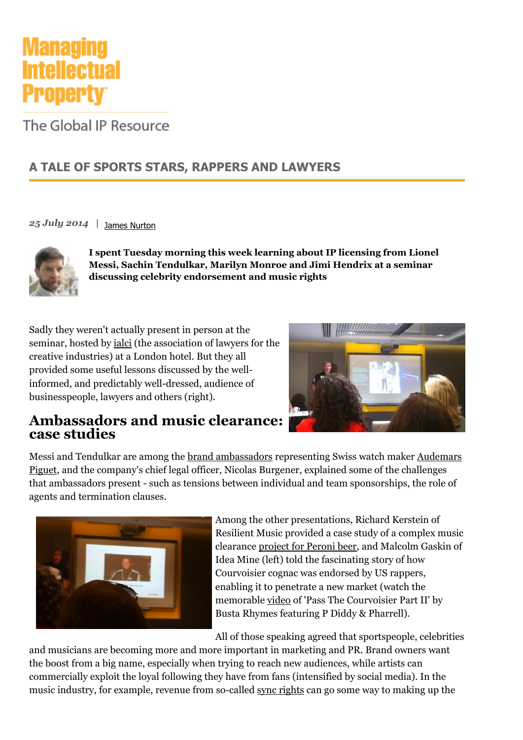

The Global IP Resource

## **A TALE OF SPORTS STARS, RAPPERS AND LAWYERS**

[James Nurton](http://www.managingip.com/Author/18840/James-Nurton.html) *25 July 2014 |* 



**I spent Tuesday morning this week learning about IP licensing from Lionel Messi, Sachin Tendulkar, Marilyn Monroe and Jimi Hendrix at a seminar discussing celebrity endorsement and music rights**

Sadly they weren't actually present in person at the seminar, hosted by [ialci](http://ialci.org/) (the association of lawyers for the creative industries) at a London hotel. But they all provided some useful lessons discussed by the wellinformed, and predictably well-dressed, audience of businesspeople, lawyers and others (right).



### **Ambassadors and music clearance: case studies**

[Messi and Tendulkar are among the](http://www.audemarspiguet.com/en/) [brand ambassadors](http://www.audemarspiguet.com/en/news/category/ambassadors) [representing Swiss watch maker Audemars](http://www.audemarspiguet.com/en/) Piguet, and the company's chief legal officer, Nicolas Burgener, explained some of the challenges that ambassadors present - such as tensions between individual and team sponsorships, the role of agents and termination clauses.



Among the other presentations, Richard Kerstein of Resilient Music provided a case study of a complex music clearance [project for Peroni beer,](http://www.resilientmusic.com/peroni-nastro-azzurro-storie-di-stile/) and Malcolm Gaskin of Idea Mine (left) told the fascinating story of how Courvoisier cognac was endorsed by US rappers, enabling it to penetrate a new market (watch the memorable [video](https://www.youtube.com/watch?v=o4ZUaxyPoZ8) of 'Pass The Courvoisier Part II' by Busta Rhymes featuring P Diddy & Pharrell).

All of those speaking agreed that sportspeople, celebrities

and musicians are becoming more and more important in marketing and PR. Brand owners want the boost from a big name, especially when trying to reach new audiences, while artists can commercially exploit the loyal following they have from fans (intensified by social media). In the music industry, for example, revenue from so-called [sync rights](http://en.wikipedia.org/wiki/Synchronization_rights) can go some way to making up the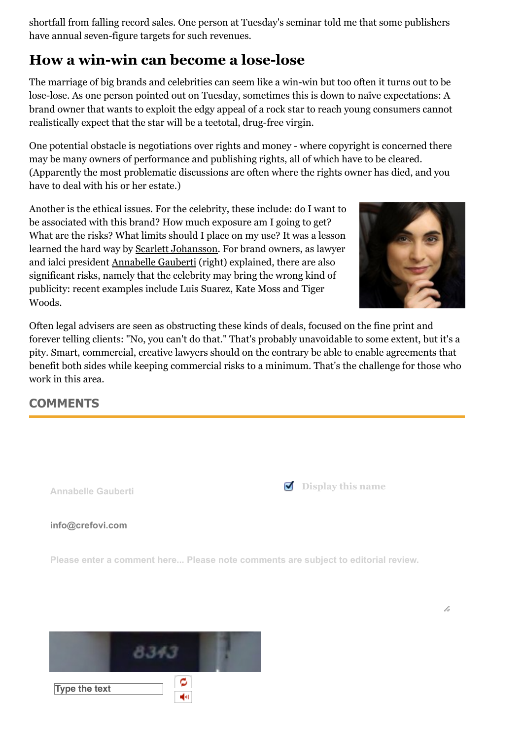shortfall from falling record sales. One person at Tuesday's seminar told me that some publishers have annual seven-figure targets for such revenues.

# **How a win-win can become a lose-lose**

The marriage of big brands and celebrities can seem like a win-win but too often it turns out to be lose-lose. As one person pointed out on Tuesday, sometimes this is down to naïve expectations: A brand owner that wants to exploit the edgy appeal of a rock star to reach young consumers cannot realistically expect that the star will be a teetotal, drug-free virgin.

One potential obstacle is negotiations over rights and money - where copyright is concerned there may be many owners of performance and publishing rights, all of which have to be cleared. (Apparently the most problematic discussions are often where the rights owner has died, and you have to deal with his or her estate.)

Another is the ethical issues. For the celebrity, these include: do I want to be associated with this brand? How much exposure am I going to get? What are the risks? What limits should I place on my use? It was a lesson learned the hard way by [Scarlett Johansson.](http://www.bbc.co.uk/news/world-us-canada-25958176) For brand owners, as lawyer and ialci president [Annabelle Gauberti](http://crefovi.com/annabelle-gauberti/) (right) explained, there are also significant risks, namely that the celebrity may bring the wrong kind of publicity: recent examples include Luis Suarez, Kate Moss and Tiger Woods.



Often legal advisers are seen as obstructing these kinds of deals, focused on the fine print and forever telling clients: "No, you can't do that." That's probably unavoidable to some extent, but it's a pity. Smart, commercial, creative lawyers should on the contrary be able to enable agreements that benefit both sides while keeping commercial risks to a minimum. That's the challenge for those who work in this area.

### **COMMENTS**

**Type the text**